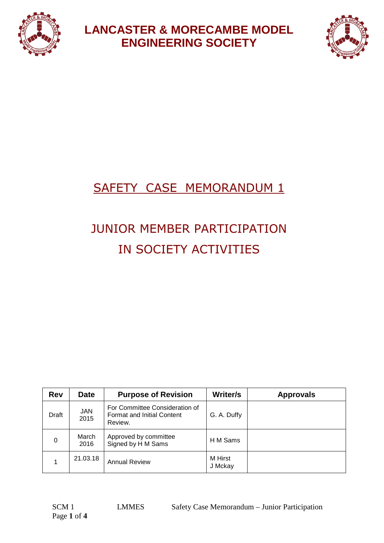



## SAFETY CASE MEMORANDUM 1

# JUNIOR MEMBER PARTICIPATION IN SOCIETY ACTIVITIES

| <b>Rev</b> | <b>Date</b>        | <b>Purpose of Revision</b>                                                     | Writer/s           | <b>Approvals</b> |
|------------|--------------------|--------------------------------------------------------------------------------|--------------------|------------------|
| Draft      | <b>JAN</b><br>2015 | For Committee Consideration of<br><b>Format and Initial Content</b><br>Review. | G. A. Duffy        |                  |
| $\Omega$   | March<br>2016      | Approved by committee<br>Signed by H M Sams                                    | H M Sams           |                  |
|            | 21.03.18           | <b>Annual Review</b>                                                           | M Hirst<br>J Mckay |                  |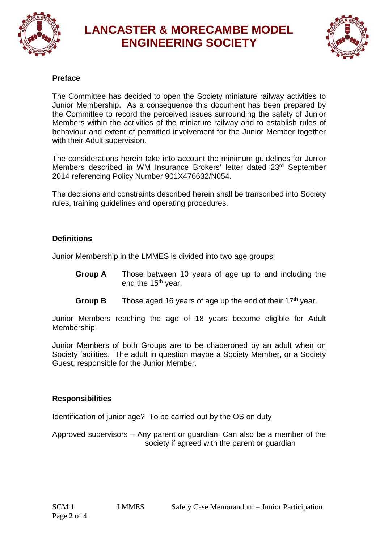



#### **Preface**

The Committee has decided to open the Society miniature railway activities to Junior Membership. As a consequence this document has been prepared by the Committee to record the perceived issues surrounding the safety of Junior Members within the activities of the miniature railway and to establish rules of behaviour and extent of permitted involvement for the Junior Member together with their Adult supervision.

The considerations herein take into account the minimum guidelines for Junior Members described in WM Insurance Brokers' letter dated 23rd September 2014 referencing Policy Number 901X476632/N054.

The decisions and constraints described herein shall be transcribed into Society rules, training guidelines and operating procedures.

#### **Definitions**

Junior Membership in the LMMES is divided into two age groups:

- **Group A** Those between 10 years of age up to and including the end the 15<sup>th</sup> year.
- **Group B** Those aged 16 years of age up the end of their 17<sup>th</sup> year.

Junior Members reaching the age of 18 years become eligible for Adult Membership.

Junior Members of both Groups are to be chaperoned by an adult when on Society facilities. The adult in question maybe a Society Member, or a Society Guest, responsible for the Junior Member.

#### **Responsibilities**

Identification of junior age? To be carried out by the OS on duty

Approved supervisors – Any parent or guardian. Can also be a member of the society if agreed with the parent or guardian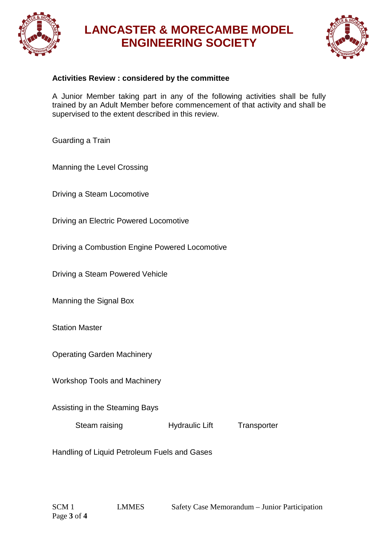



#### **Activities Review : considered by the committee**

A Junior Member taking part in any of the following activities shall be fully trained by an Adult Member before commencement of that activity and shall be supervised to the extent described in this review.

Guarding a Train

Manning the Level Crossing

Driving a Steam Locomotive

Driving an Electric Powered Locomotive

Driving a Combustion Engine Powered Locomotive

Driving a Steam Powered Vehicle

Manning the Signal Box

Station Master

Operating Garden Machinery

Workshop Tools and Machinery

Assisting in the Steaming Bays

Steam raising **Hydraulic Lift** Transporter

Handling of Liquid Petroleum Fuels and Gases